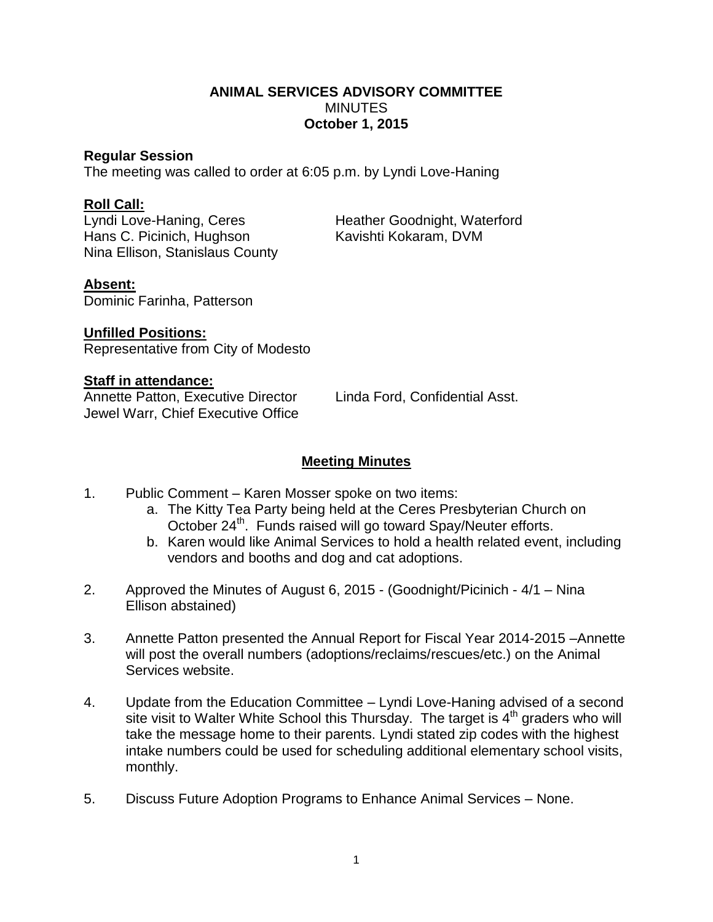## **ANIMAL SERVICES ADVISORY COMMITTEE MINUTES October 1, 2015**

#### **Regular Session**

The meeting was called to order at 6:05 p.m. by Lyndi Love-Haning

## **Roll Call:**

Hans C. Picinich, Hughson Kavishti Kokaram, DVM Nina Ellison, Stanislaus County

Lyndi Love-Haning, Ceres Heather Goodnight, Waterford

## **Absent:**

Dominic Farinha, Patterson

**Unfilled Positions:** Representative from City of Modesto

#### **Staff in attendance:**

Annette Patton, Executive Director Linda Ford, Confidential Asst. Jewel Warr, Chief Executive Office

# **Meeting Minutes**

- 1. Public Comment Karen Mosser spoke on two items:
	- a. The Kitty Tea Party being held at the Ceres Presbyterian Church on October 24<sup>th</sup>. Funds raised will go toward Spay/Neuter efforts.
	- b. Karen would like Animal Services to hold a health related event, including vendors and booths and dog and cat adoptions.
- 2. Approved the Minutes of August 6, 2015 (Goodnight/Picinich 4/1 Nina Ellison abstained)
- 3. Annette Patton presented the Annual Report for Fiscal Year 2014-2015 –Annette will post the overall numbers (adoptions/reclaims/rescues/etc.) on the Animal Services website.
- 4. Update from the Education Committee Lyndi Love-Haning advised of a second site visit to Walter White School this Thursday. The target is  $4<sup>th</sup>$  graders who will take the message home to their parents. Lyndi stated zip codes with the highest intake numbers could be used for scheduling additional elementary school visits, monthly.
- 5. Discuss Future Adoption Programs to Enhance Animal Services None.